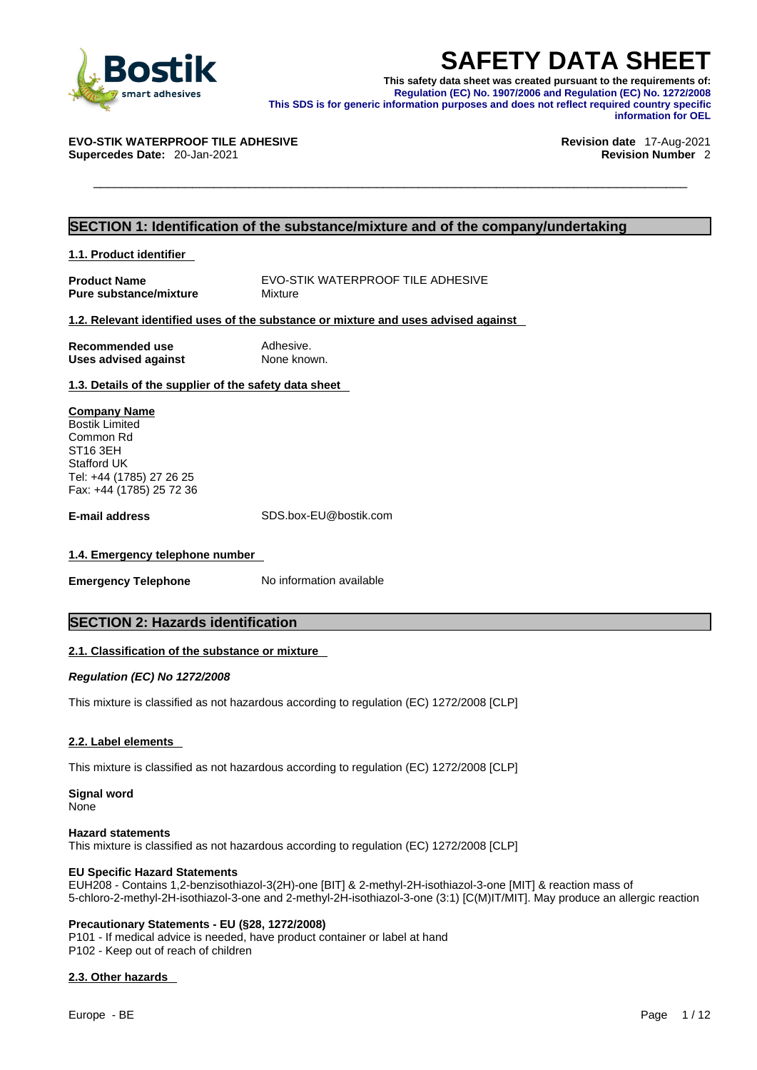

**SAFETY DATA SHEET**<br>
This safety data sheet was created pursuant to the requirements of:<br>
Regulation (EC) No. 1907/2006 and Regulation (EC) No. 1272/2008<br>
This SDS is for generic information purposes and does not reflect r **This safety data sheet was created pursuant to the requirements of: Regulation (EC) No. 1907/2006 and Regulation (EC) No. 1272/2008 This SDS is for generic information purposes and does not reflect required country specific information for OEL** 

#### **EVO-STIK WATERPROOF TILE ADHESIVE Revision date** 17-Aug-2021

**Supercedes Date:** 20-Jan-2021 **Revision Number** 2

#### **SECTION 1: Identification of the substance/mixture and of the company/undertaking**

**1.1. Product identifier** 

**Product Name** EVO-STIK WATERPROOF TILE ADHESIVE<br> **Pure substance/mixture** Mixture Mixture **Pure substance/mixture** 

#### **1.2. Relevant identified uses of the substance or mixture and uses advised against**

| Recommended use             | Adhesive.   |
|-----------------------------|-------------|
| <b>Uses advised against</b> | None known. |

**1.3. Details of the supplier of the safety data sheet**

**Company Name** Bostik Limited Common Rd ST16 3EH Stafford UK Tel: +44 (1785) 27 26 25 Fax: +44 (1785) 25 72 36

**E-mail address** SDS.box-EU@bostik.com

#### **1.4. Emergency telephone number**

**Emergency Telephone** No information available

## **SECTION 2: Hazards identification**

#### **2.1. Classification of the substance or mixture**

*Regulation (EC) No 1272/2008* 

This mixture is classified as not hazardous according to regulation (EC) 1272/2008 [CLP]

#### **2.2. Label elements**

This mixture is classified as not hazardous according to regulation (EC) 1272/2008 [CLP]

**Signal word**

None

#### **Hazard statements**

This mixture is classified as not hazardous according to regulation (EC) 1272/2008 [CLP]

#### **EU Specific Hazard Statements**

EUH208 - Contains 1,2-benzisothiazol-3(2H)-one [BIT] & 2-methyl-2H-isothiazol-3-one [MIT] & reaction mass of 5-chloro-2-methyl-2H-isothiazol-3-one and 2-methyl-2H-isothiazol-3-one (3:1) [C(M)IT/MIT]. May produce an allergic reaction

#### **Precautionary Statements - EU (§28, 1272/2008)**

P101 - If medical advice is needed, have product container or label at hand P102 - Keep out of reach of children

#### **2.3. Other hazards**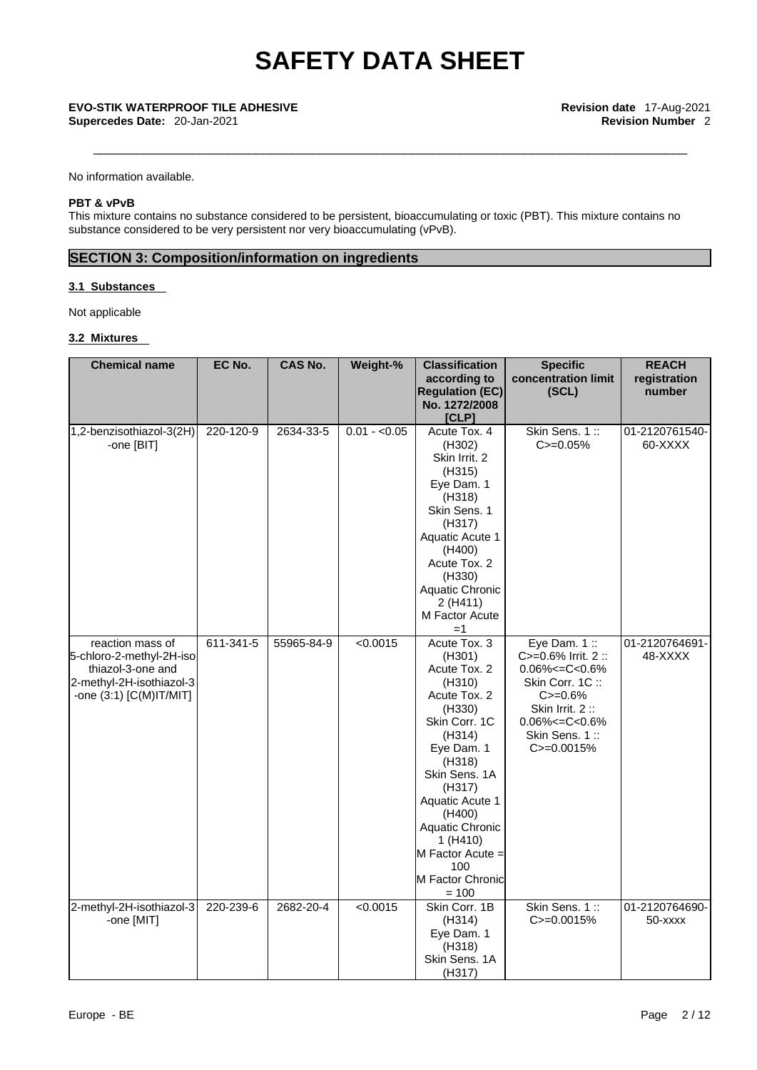**Supercedes Date:** 20-Jan-2021 **Revision Number** 2

No information available.

#### **PBT & vPvB**

This mixture contains no substance considered to be persistent, bioaccumulating or toxic (PBT). This mixture contains no substance considered to be very persistent nor very bioaccumulating (vPvB).

## **SECTION 3: Composition/information on ingredients**

#### **3.1 Substances**

Not applicable

#### **3.2 Mixtures**

| <b>Chemical name</b>                                                                                                          | EC No.    | <b>CAS No.</b> | Weight-%      | <b>Classification</b><br>according to                                                                                                                                                                                                                                                 | <b>Specific</b><br>concentration limit                                                                                                                                             | <b>REACH</b><br>registration |
|-------------------------------------------------------------------------------------------------------------------------------|-----------|----------------|---------------|---------------------------------------------------------------------------------------------------------------------------------------------------------------------------------------------------------------------------------------------------------------------------------------|------------------------------------------------------------------------------------------------------------------------------------------------------------------------------------|------------------------------|
|                                                                                                                               |           |                |               | <b>Regulation (EC)</b><br>No. 1272/2008<br>[CLP]                                                                                                                                                                                                                                      | (SCL)                                                                                                                                                                              | number                       |
| 1,2-benzisothiazol-3(2H)<br>-one [BIT]                                                                                        | 220-120-9 | 2634-33-5      | $0.01 - 0.05$ | Acute Tox. 4<br>(H302)<br>Skin Irrit. 2<br>(H315)<br>Eye Dam. 1<br>(H318)<br>Skin Sens. 1<br>(H317)<br>Aquatic Acute 1<br>(H400)<br>Acute Tox. 2<br>(H330)<br>Aquatic Chronic<br>2(H411)<br>M Factor Acute<br>$=1$                                                                    | Skin Sens. 1::<br>$C = 0.05%$                                                                                                                                                      | 01-2120761540-<br>60-XXXX    |
| reaction mass of<br>5-chloro-2-methyl-2H-iso<br>thiazol-3-one and<br>2-methyl-2H-isothiazol-3<br>-one $(3:1)$ $[C(M)$ IT/MIT] | 611-341-5 | 55965-84-9     | < 0.0015      | Acute Tox. 3<br>(H301)<br>Acute Tox. 2<br>(H310)<br>Acute Tox. 2<br>(H330)<br>Skin Corr. 1C<br>(H314)<br>Eye Dam. 1<br>(H318)<br>Skin Sens. 1A<br>(H317)<br>Aquatic Acute 1<br>(H400)<br><b>Aquatic Chronic</b><br>1 (H410)<br>M Factor Acute =<br>100<br>M Factor Chronic<br>$= 100$ | Eye Dam. $1::$<br>$C = 0.6\%$ Irrit. 2 ::<br>$0.06\% < = C < 0.6\%$<br>Skin Corr. 1C:<br>$C = 0.6%$<br>Skin Irrit. 2:<br>$0.06\% < = C < 0.6\%$<br>Skin Sens. 1::<br>$C = 0.0015%$ | 01-2120764691-<br>48-XXXX    |
| 2-methyl-2H-isothiazol-3<br>-one [MIT]                                                                                        | 220-239-6 | 2682-20-4      | < 0.0015      | Skin Corr. 1B<br>(H314)<br>Eye Dam. 1<br>(H318)<br>Skin Sens. 1A<br>(H317)                                                                                                                                                                                                            | Skin Sens. 1:<br>$C = 0.0015%$                                                                                                                                                     | 01-2120764690-<br>50-xxxx    |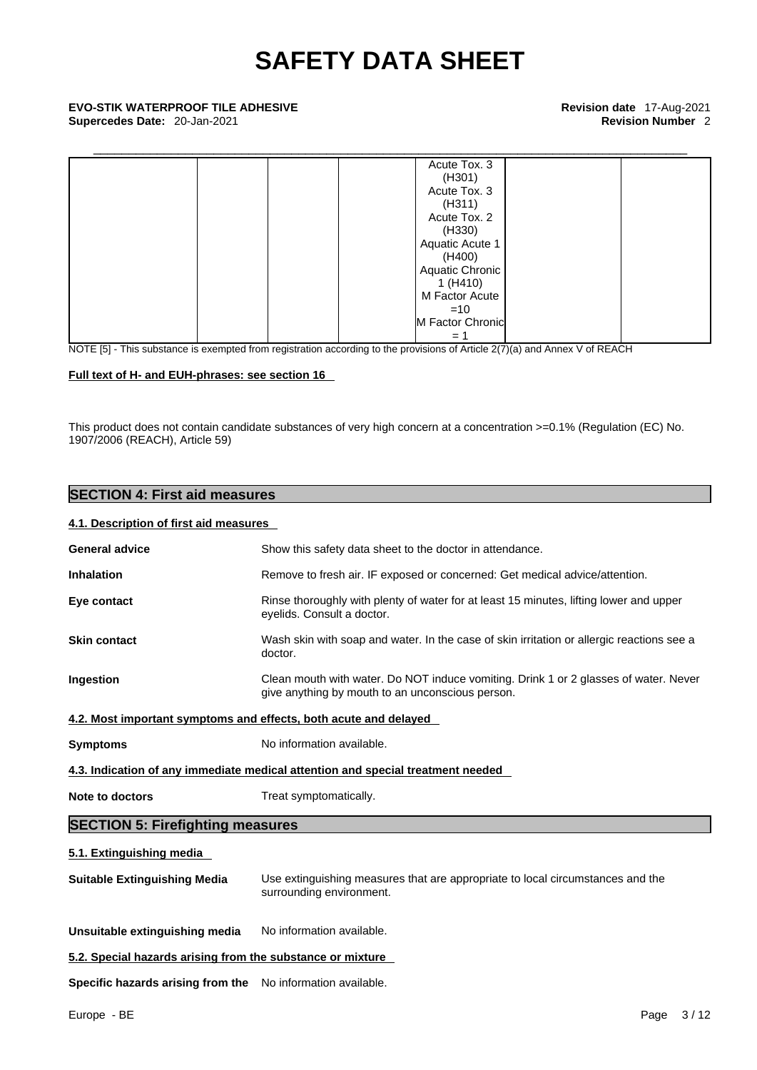| Acute Tox. 3     |
|------------------|
| (H301)           |
| Acute Tox. 3     |
| (H311)           |
| Acute Tox. 2     |
| (H330)           |
| Aquatic Acute 1  |
| (H400)           |
| Aquatic Chronic  |
| 1(H410)          |
| M Factor Acute   |
| $=10$            |
| M Factor Chronic |
| $=$ $\degree$    |
|                  |

NOTE [5] - This substance is exempted from registration according to the provisions of Article 2(7)(a) and Annex V of REACH

#### **Full text of H- and EUH-phrases: see section 16**

This product does not contain candidate substances of very high concern at a concentration >=0.1% (Regulation (EC) No. 1907/2006 (REACH), Article 59)

## **SECTION 4: First aid measures**

#### **4.1. Description of first aid measures**

| <b>General advice</b>                                      | Show this safety data sheet to the doctor in attendance.                                                                                 |  |  |
|------------------------------------------------------------|------------------------------------------------------------------------------------------------------------------------------------------|--|--|
| <b>Inhalation</b>                                          | Remove to fresh air. IF exposed or concerned: Get medical advice/attention.                                                              |  |  |
| Eye contact                                                | Rinse thoroughly with plenty of water for at least 15 minutes, lifting lower and upper<br>eyelids. Consult a doctor.                     |  |  |
| <b>Skin contact</b>                                        | Wash skin with soap and water. In the case of skin irritation or allergic reactions see a<br>doctor.                                     |  |  |
| Ingestion                                                  | Clean mouth with water. Do NOT induce vomiting. Drink 1 or 2 glasses of water. Never<br>give anything by mouth to an unconscious person. |  |  |
|                                                            | 4.2. Most important symptoms and effects, both acute and delayed                                                                         |  |  |
| <b>Symptoms</b>                                            | No information available.                                                                                                                |  |  |
|                                                            | 4.3. Indication of any immediate medical attention and special treatment needed                                                          |  |  |
| Note to doctors                                            | Treat symptomatically.                                                                                                                   |  |  |
| <b>SECTION 5: Firefighting measures</b>                    |                                                                                                                                          |  |  |
| 5.1. Extinguishing media                                   |                                                                                                                                          |  |  |
| <b>Suitable Extinguishing Media</b>                        | Use extinguishing measures that are appropriate to local circumstances and the<br>surrounding environment.                               |  |  |
| Unsuitable extinguishing media                             | No information available.                                                                                                                |  |  |
| 5.2. Special hazards arising from the substance or mixture |                                                                                                                                          |  |  |
|                                                            |                                                                                                                                          |  |  |

**Specific hazards arising from the** No information available.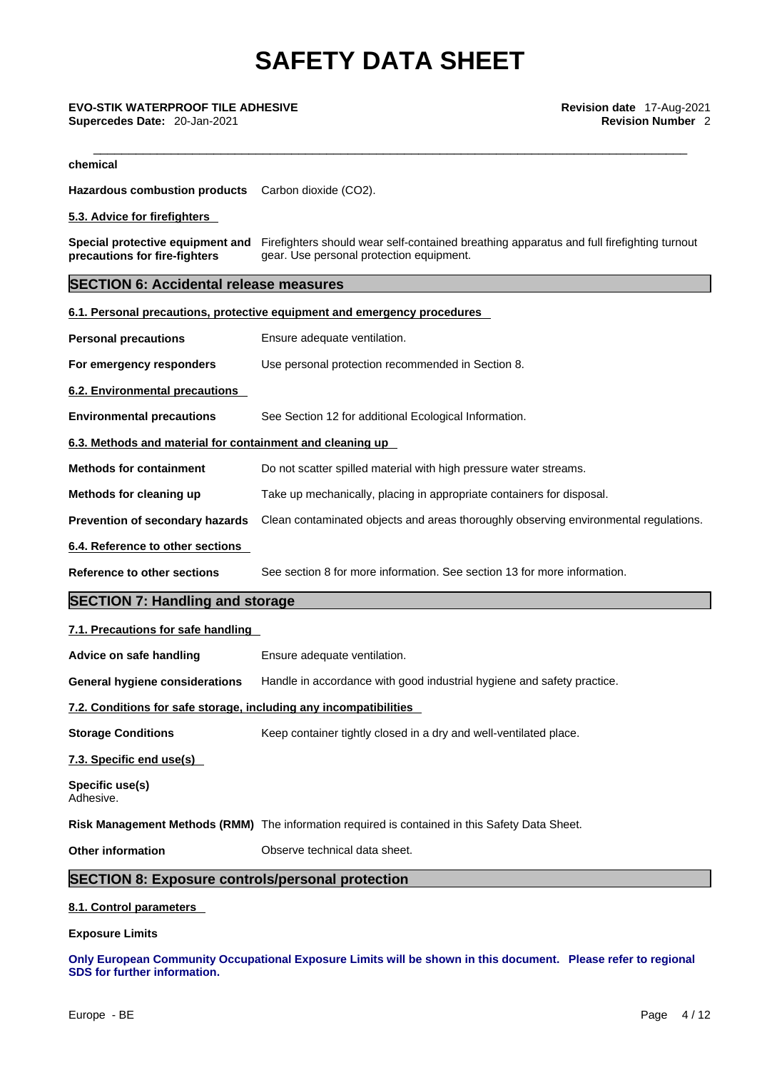\_\_\_\_\_\_\_\_\_\_\_\_\_\_\_\_\_\_\_\_\_\_\_\_\_\_\_\_\_\_\_\_\_\_\_\_\_\_\_\_\_\_\_\_\_\_\_\_\_\_\_\_\_\_\_\_\_\_\_\_\_\_\_\_\_\_\_\_\_\_\_\_\_\_\_\_\_\_\_\_\_\_\_\_ **EVO-STIK WATERPROOF TILE ADHESIVE Revision date** 17-Aug-2021

**chemical**

**Hazardous combustion products** Carbon dioxide (CO2).

**5.3. Advice for firefighters** 

**Special protective equipment and** Firefighters should wear self-contained breathing apparatus and full firefighting turnout **precautions for fire-fighters** gear. Use personal protection equipment.

### **SECTION 6: Accidental release measures**

| Use personal protection recommended in Section 8.<br>See Section 12 for additional Ecological Information.<br>Do not scatter spilled material with high pressure water streams.<br>Take up mechanically, placing in appropriate containers for disposal.<br>See section 8 for more information. See section 13 for more information.<br>Ensure adequate ventilation.<br>Handle in accordance with good industrial hygiene and safety practice.<br>Keep container tightly closed in a dry and well-ventilated place.<br>Observe technical data sheet. | <b>Personal precautions</b>     | Ensure adequate ventilation.                                                         |  |
|------------------------------------------------------------------------------------------------------------------------------------------------------------------------------------------------------------------------------------------------------------------------------------------------------------------------------------------------------------------------------------------------------------------------------------------------------------------------------------------------------------------------------------------------------|---------------------------------|--------------------------------------------------------------------------------------|--|
|                                                                                                                                                                                                                                                                                                                                                                                                                                                                                                                                                      | For emergency responders        |                                                                                      |  |
| <b>Environmental precautions</b><br>6.3. Methods and material for containment and cleaning up                                                                                                                                                                                                                                                                                                                                                                                                                                                        | 6.2. Environmental precautions  |                                                                                      |  |
|                                                                                                                                                                                                                                                                                                                                                                                                                                                                                                                                                      |                                 |                                                                                      |  |
|                                                                                                                                                                                                                                                                                                                                                                                                                                                                                                                                                      |                                 |                                                                                      |  |
|                                                                                                                                                                                                                                                                                                                                                                                                                                                                                                                                                      | <b>Methods for containment</b>  |                                                                                      |  |
|                                                                                                                                                                                                                                                                                                                                                                                                                                                                                                                                                      | Methods for cleaning up         |                                                                                      |  |
| 6.4. Reference to other sections<br><b>Reference to other sections</b><br><b>SECTION 7: Handling and storage</b><br>7.1. Precautions for safe handling<br>Advice on safe handling<br><b>General hygiene considerations</b><br>7.2. Conditions for safe storage, including any incompatibilities<br><b>Storage Conditions</b><br>7.3. Specific end use(s)<br>Specific use(s)<br>Adhesive.<br>Risk Management Methods (RMM) The information required is contained in this Safety Data Sheet.<br><b>Other information</b>                               | Prevention of secondary hazards | Clean contaminated objects and areas thoroughly observing environmental regulations. |  |
|                                                                                                                                                                                                                                                                                                                                                                                                                                                                                                                                                      |                                 |                                                                                      |  |
|                                                                                                                                                                                                                                                                                                                                                                                                                                                                                                                                                      |                                 |                                                                                      |  |
|                                                                                                                                                                                                                                                                                                                                                                                                                                                                                                                                                      |                                 |                                                                                      |  |
|                                                                                                                                                                                                                                                                                                                                                                                                                                                                                                                                                      |                                 |                                                                                      |  |
|                                                                                                                                                                                                                                                                                                                                                                                                                                                                                                                                                      |                                 |                                                                                      |  |
|                                                                                                                                                                                                                                                                                                                                                                                                                                                                                                                                                      |                                 |                                                                                      |  |
|                                                                                                                                                                                                                                                                                                                                                                                                                                                                                                                                                      |                                 |                                                                                      |  |
|                                                                                                                                                                                                                                                                                                                                                                                                                                                                                                                                                      |                                 |                                                                                      |  |
|                                                                                                                                                                                                                                                                                                                                                                                                                                                                                                                                                      |                                 |                                                                                      |  |
|                                                                                                                                                                                                                                                                                                                                                                                                                                                                                                                                                      |                                 |                                                                                      |  |
|                                                                                                                                                                                                                                                                                                                                                                                                                                                                                                                                                      |                                 |                                                                                      |  |
|                                                                                                                                                                                                                                                                                                                                                                                                                                                                                                                                                      |                                 |                                                                                      |  |

**Exposure Limits**

**Only European Community Occupational Exposure Limits will be shown in this document. Please refer to regional SDS for further information.**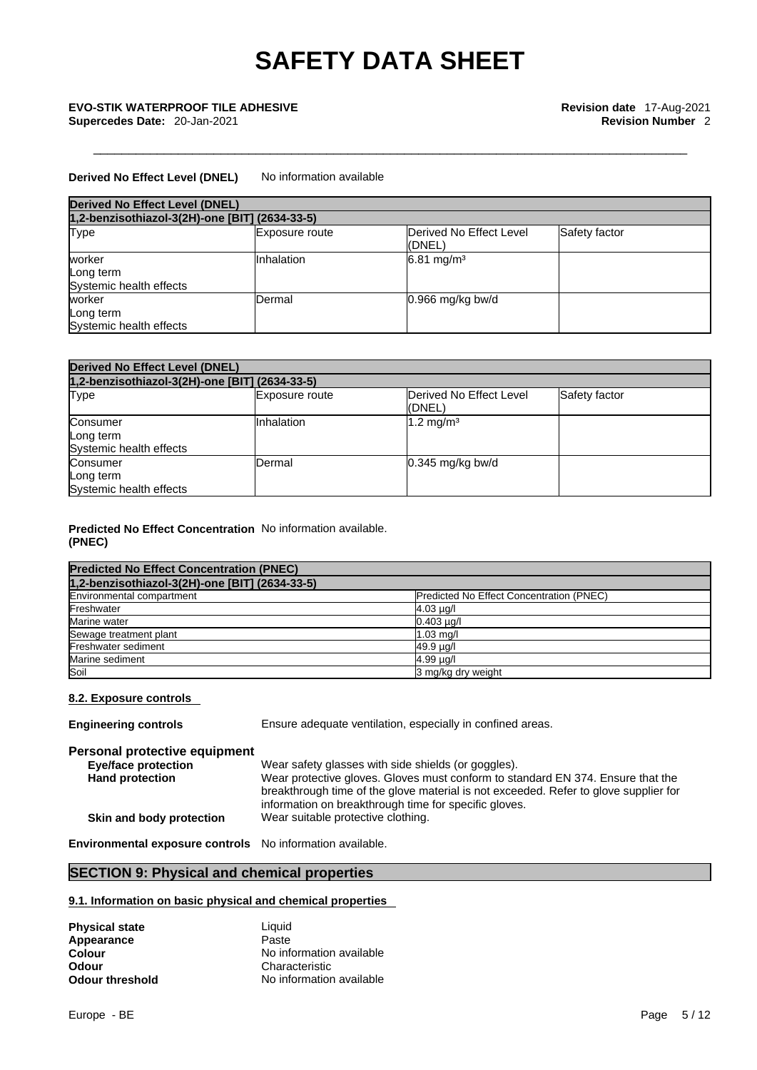### **Derived No Effect Level (DNEL)** No information available

| <b>Derived No Effect Level (DNEL)</b>          |                       |                                    |               |  |
|------------------------------------------------|-----------------------|------------------------------------|---------------|--|
| 1,2-benzisothiazol-3(2H)-one [BIT] (2634-33-5) |                       |                                    |               |  |
| Type                                           | <b>Exposure route</b> | Derived No Effect Level<br>l(DNEL) | Safety factor |  |
| worker<br>Long term<br>Systemic health effects | Inhalation            | $6.81 \text{ mg/m}^3$              |               |  |
| worker<br>Long term<br>Systemic health effects | Dermal                | $0.966$ mg/kg bw/d                 |               |  |

| <b>Derived No Effect Level (DNEL)</b>            |                       |                                           |               |  |
|--------------------------------------------------|-----------------------|-------------------------------------------|---------------|--|
| 1,2-benzisothiazol-3(2H)-one [BIT] (2634-33-5)   |                       |                                           |               |  |
| Type                                             | <b>Exposure route</b> | <b>IDerived No Effect Level</b><br>(DNEL) | Safety factor |  |
| Consumer<br>Long term<br>Systemic health effects | Inhalation            | 1.2 mg/m <sup>3</sup>                     |               |  |
| Consumer<br>Long term<br>Systemic health effects | Dermal                | $0.345$ mg/kg bw/d                        |               |  |

#### **Predicted No Effect Concentration** No information available. **(PNEC)**

| <b>Predicted No Effect Concentration (PNEC)</b> |                                          |
|-------------------------------------------------|------------------------------------------|
| 1,2-benzisothiazol-3(2H)-one [BIT] (2634-33-5)  |                                          |
| Environmental compartment                       | Predicted No Effect Concentration (PNEC) |
| Freshwater                                      | $4.03 \mu g/l$                           |
| Marine water                                    | $0.403 \mu q/l$                          |
| Sewage treatment plant                          | $1.03$ mg/                               |
| Freshwater sediment                             | 49.9 µg/l                                |
| Marine sediment                                 | $4.99 \mu q$                             |
| Soil                                            | 3 mg/kg dry weight                       |

#### **8.2. Exposure controls**

**Engineering controls** Ensure adequate ventilation, especially in confined areas. **Personal protective equipment Eye/face protection** Wear safety glasses with side shields (or goggles).<br> **Hand protection** Wear protective gloves. Gloves must conform to sta Wear protective gloves. Gloves must conform to standard EN 374. Ensure that the breakthrough time of the glove material is not exceeded. Refer to glove supplier for information on breakthrough time for specific gloves. **Skin and body protection** Wear suitable protective clothing.

**Environmental exposure controls** No information available.

## **SECTION 9: Physical and chemical properties**

#### **9.1. Information on basic physical and chemical properties**

| <b>Physical state</b> | Liauid                   |
|-----------------------|--------------------------|
| Appearance            | Paste                    |
| Colour                | No information available |
| Odour                 | Characteristic           |
| Odour threshold       | No information available |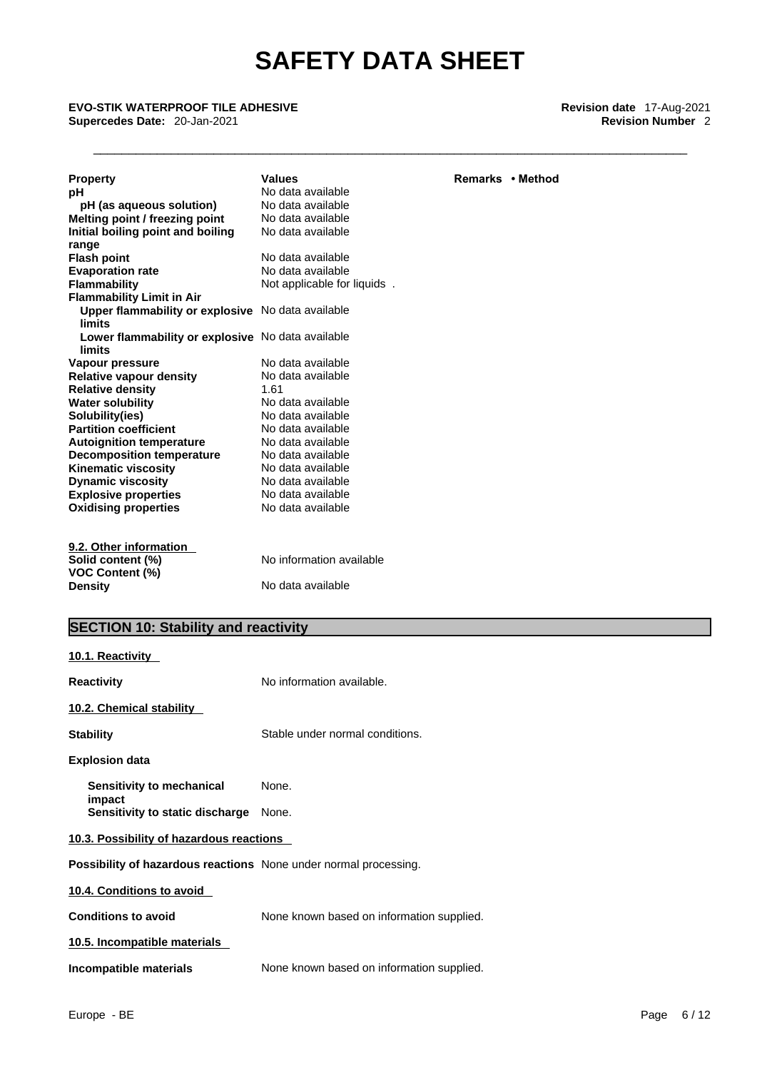\_\_\_\_\_\_\_\_\_\_\_\_\_\_\_\_\_\_\_\_\_\_\_\_\_\_\_\_\_\_\_\_\_\_\_\_\_\_\_\_\_\_\_\_\_\_\_\_\_\_\_\_\_\_\_\_\_\_\_\_\_\_\_\_\_\_\_\_\_\_\_\_\_\_\_\_\_\_\_\_\_\_\_\_ **EVO-STIK WATERPROOF TILE ADHESIVE Revision date** 17-Aug-2021 **Supercedes Date:** 20-Jan-2021 **Revision Number** 2

| <b>Property</b>                                             | <b>Values</b>                   | Remarks • Method |
|-------------------------------------------------------------|---------------------------------|------------------|
| рH                                                          | No data available               |                  |
| pH (as aqueous solution)                                    | No data available               |                  |
| Melting point / freezing point                              | No data available               |                  |
| Initial boiling point and boiling                           | No data available               |                  |
| range                                                       |                                 |                  |
| <b>Flash point</b>                                          | No data available               |                  |
| <b>Evaporation rate</b>                                     | No data available               |                  |
| <b>Flammability</b>                                         | Not applicable for liquids.     |                  |
| <b>Flammability Limit in Air</b>                            |                                 |                  |
| Upper flammability or explosive No data available<br>limits |                                 |                  |
| Lower flammability or explosive No data available<br>limits |                                 |                  |
| Vapour pressure                                             | No data available               |                  |
| <b>Relative vapour density</b>                              | No data available               |                  |
| <b>Relative density</b>                                     | 1.61                            |                  |
| <b>Water solubility</b>                                     | No data available               |                  |
| Solubility(ies)                                             | No data available               |                  |
| <b>Partition coefficient</b>                                | No data available               |                  |
| <b>Autoignition temperature</b>                             | No data available               |                  |
| <b>Decomposition temperature</b>                            | No data available               |                  |
| <b>Kinematic viscosity</b>                                  | No data available               |                  |
| <b>Dynamic viscosity</b>                                    | No data available               |                  |
| <b>Explosive properties</b>                                 | No data available               |                  |
| <b>Oxidising properties</b>                                 | No data available               |                  |
| 9.2. Other information                                      |                                 |                  |
| Solid content (%)<br><b>VOC Content (%)</b>                 | No information available        |                  |
| Density                                                     | No data available               |                  |
| <b>SECTION 10: Stability and reactivity</b>                 |                                 |                  |
| <u>10.1. Reactivity</u>                                     |                                 |                  |
|                                                             |                                 |                  |
| <b>Reactivity</b>                                           | No information available.       |                  |
| 10.2. Chemical stability                                    |                                 |                  |
| <b>Stability</b>                                            | Stable under normal conditions. |                  |
| <b>Explosion data</b>                                       |                                 |                  |
| Sensitivity to mechanical<br>impact                         | None.                           |                  |
| Sensitivity to static discharge                             | None.                           |                  |

#### **10.3. Possibility of hazardous reactions**

**Possibility of hazardous reactions** None under normal processing.

**10.4. Conditions to avoid** 

**Conditions to avoid** None known based on information supplied.

**10.5. Incompatible materials**

**Incompatible materials** None known based on information supplied.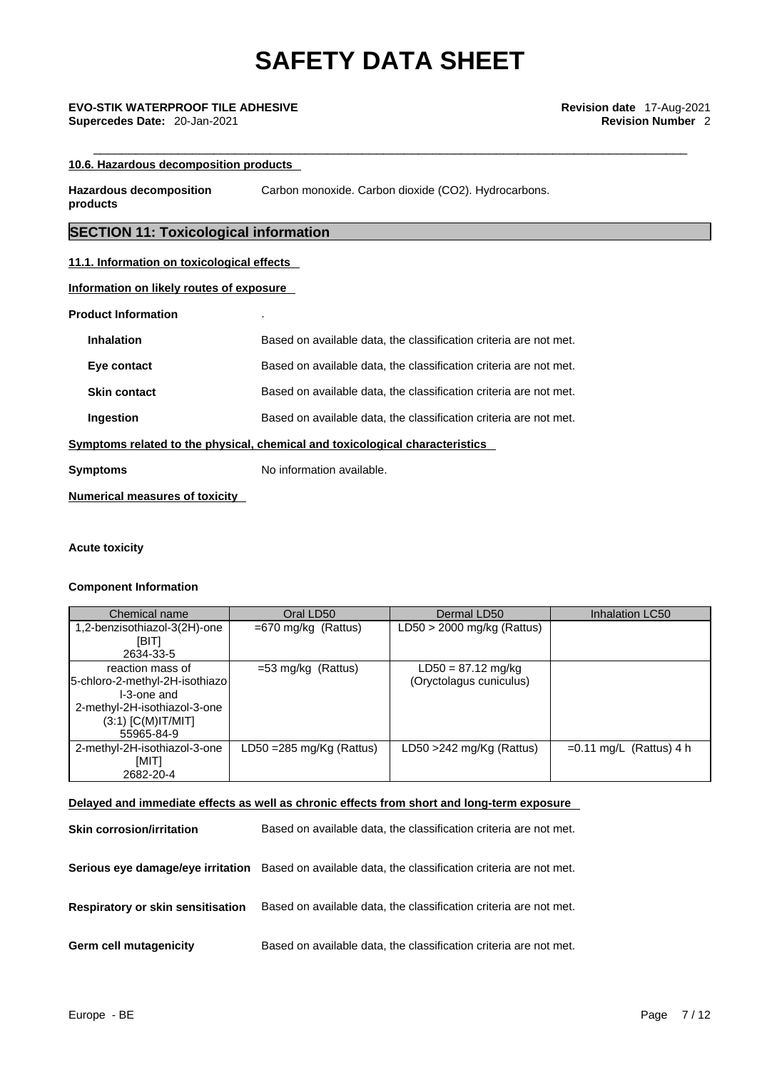# \_\_\_\_\_\_\_\_\_\_\_\_\_\_\_\_\_\_\_\_\_\_\_\_\_\_\_\_\_\_\_\_\_\_\_\_\_\_\_\_\_\_\_\_\_\_\_\_\_\_\_\_\_\_\_\_\_\_\_\_\_\_\_\_\_\_\_\_\_\_\_\_\_\_\_\_\_\_\_\_\_\_\_\_ **EVO-STIK WATERPROOF TILE ADHESIVE Revision date** 17-Aug-2021

#### **10.6. Hazardous decomposition products**

**Hazardous decomposition products**  Carbon monoxide. Carbon dioxide (CO2). Hydrocarbons.

## **SECTION 11: Toxicological information**

#### **11.1. Information on toxicological effects**

**Information on likely routes of exposure**

#### **Product Information** .

| <b>Symptoms</b>     | No information available.                                                    |  |
|---------------------|------------------------------------------------------------------------------|--|
|                     | Symptoms related to the physical, chemical and toxicological characteristics |  |
| Ingestion           | Based on available data, the classification criteria are not met.            |  |
| <b>Skin contact</b> | Based on available data, the classification criteria are not met.            |  |
| Eye contact         | Based on available data, the classification criteria are not met.            |  |
| <b>Inhalation</b>   | Based on available data, the classification criteria are not met.            |  |

**Numerical measures of toxicity**

#### **Acute toxicity**

#### **Component Information**

| Chemical name                  | Oral LD50                           | Dermal LD50                  | Inhalation LC50           |
|--------------------------------|-------------------------------------|------------------------------|---------------------------|
| 1,2-benzisothiazol-3(2H)-one   | $=670$ mg/kg (Rattus)               | $LD50 > 2000$ mg/kg (Rattus) |                           |
| [BIT]                          |                                     |                              |                           |
| 2634-33-5                      |                                     |                              |                           |
| reaction mass of               | $=$ 53 mg/kg (Rattus)               | $LD50 = 87.12$ mg/kg         |                           |
| 5-chloro-2-methyl-2H-isothiazo |                                     | (Oryctolagus cuniculus)      |                           |
| I-3-one and                    |                                     |                              |                           |
| 2-methyl-2H-isothiazol-3-one   |                                     |                              |                           |
| $(3:1)$ [C(M)IT/MIT]           |                                     |                              |                           |
| 55965-84-9                     |                                     |                              |                           |
| 2-methyl-2H-isothiazol-3-one   | LD50 = $285 \text{ mg/Kg}$ (Rattus) | LD50 >242 mg/Kg (Rattus)     | $=0.11$ mg/L (Rattus) 4 h |
| [MIT]                          |                                     |                              |                           |
| 2682-20-4                      |                                     |                              |                           |

#### **Delayed and immediate effects as well as chronic effects from short and long-term exposure**

| <b>Skin corrosion/irritation</b>         | Based on available data, the classification criteria are not met.                                   |
|------------------------------------------|-----------------------------------------------------------------------------------------------------|
|                                          | Serious eye damage/eye irritation Based on available data, the classification criteria are not met. |
| <b>Respiratory or skin sensitisation</b> | Based on available data, the classification criteria are not met.                                   |
| <b>Germ cell mutagenicity</b>            | Based on available data, the classification criteria are not met.                                   |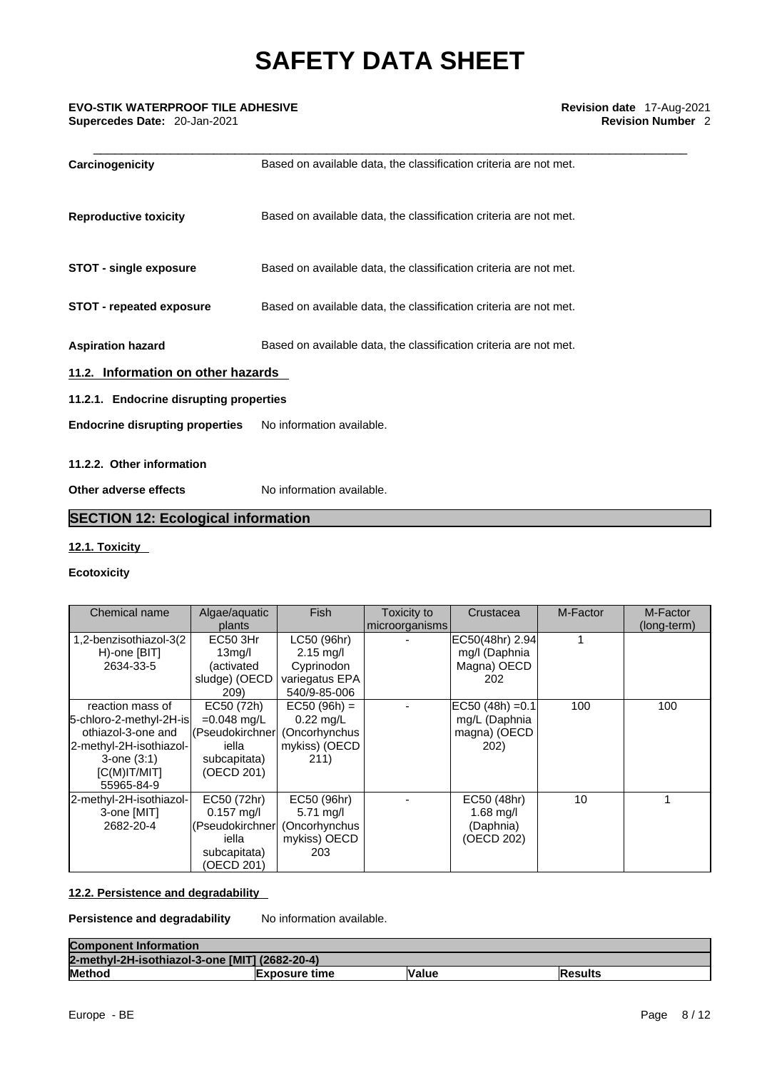### \_\_\_\_\_\_\_\_\_\_\_\_\_\_\_\_\_\_\_\_\_\_\_\_\_\_\_\_\_\_\_\_\_\_\_\_\_\_\_\_\_\_\_\_\_\_\_\_\_\_\_\_\_\_\_\_\_\_\_\_\_\_\_\_\_\_\_\_\_\_\_\_\_\_\_\_\_\_\_\_\_\_\_\_ **EVO-STIK WATERPROOF TILE ADHESIVE Revision date** 17-Aug-2021 **Supercedes Date: 20-Jan-2021**

| Carcinogenicity                         | Based on available data, the classification criteria are not met. |
|-----------------------------------------|-------------------------------------------------------------------|
| <b>Reproductive toxicity</b>            | Based on available data, the classification criteria are not met. |
| <b>STOT - single exposure</b>           | Based on available data, the classification criteria are not met. |
| <b>STOT - repeated exposure</b>         | Based on available data, the classification criteria are not met. |
| <b>Aspiration hazard</b>                | Based on available data, the classification criteria are not met. |
| 11.2. Information on other hazards      |                                                                   |
| 11.2.1. Endocrine disrupting properties |                                                                   |
| <b>Endocrine disrupting properties</b>  | No information available.                                         |
| 11.2.2. Other information               |                                                                   |
| Other adverse effects                   | No information available.                                         |

## **SECTION 12: Ecological information**

### **12.1. Toxicity**

#### **Ecotoxicity**

| Chemical name                                                                                                                                     | Algae/aquatic<br>plants                                                               | <b>Fish</b>                                                                        | Toxicity to<br>microorganisms | Crustacea                                                   | M-Factor | M-Factor<br>(long-term) |
|---------------------------------------------------------------------------------------------------------------------------------------------------|---------------------------------------------------------------------------------------|------------------------------------------------------------------------------------|-------------------------------|-------------------------------------------------------------|----------|-------------------------|
| 1,2-benzisothiazol-3(2<br>H)-one [BIT]<br>2634-33-5                                                                                               | EC50 3Hr<br>13 <sub>mq</sub> /l<br>(activated<br>sludge) (OECD<br>209)                | LC50 (96hr)<br>$2.15 \text{ mq/l}$<br>Cyprinodon<br>variegatus EPA<br>540/9-85-006 |                               | EC50(48hr) 2.94<br>mg/I (Daphnia<br>Magna) OECD<br>202      |          |                         |
| reaction mass of<br>5-chloro-2-methyl-2H-is<br>othiazol-3-one and<br>2-methyl-2H-isothiazol-<br>$3$ -one $(3:1)$<br>$[C(M)$ IT/MIT]<br>55965-84-9 | EC50 (72h)<br>$=0.048$ mg/L<br>(Pseudokirchner<br>iella<br>subcapitata)<br>(OECD 201) | $EC50 (96h) =$<br>$0.22 \text{ mq/L}$<br>(Oncorhynchus<br>mykiss) (OECD<br>211)    |                               | $EC50 (48h) = 0.1$<br>mg/L (Daphnia<br>magna) (OECD<br>202) | 100      | 100                     |
| 2-methyl-2H-isothiazol-<br>3-one [MIT]<br>2682-20-4                                                                                               | EC50 (72hr)<br>$0.157$ mg/l<br>(Pseudokirchner<br>iella<br>subcapitata)<br>(OECD 201) | EC50 (96hr)<br>$5.71 \text{ mq/l}$<br>(Oncorhynchus<br>mykiss) OECD<br>203         |                               | EC50 (48hr)<br>$1.68$ mg/l<br>(Daphnia)<br>(OECD 202)       | 10       |                         |

#### **12.2. Persistence and degradability**

### **Persistence and degradability** No information available.

| <b>Component Information</b>                   |                      |              |          |
|------------------------------------------------|----------------------|--------------|----------|
| 2-methyl-2H-isothiazol-3-one [MIT] (2682-20-4) |                      |              |          |
| <b>Method</b>                                  | <b>Exposure time</b> | <b>Value</b> | lResults |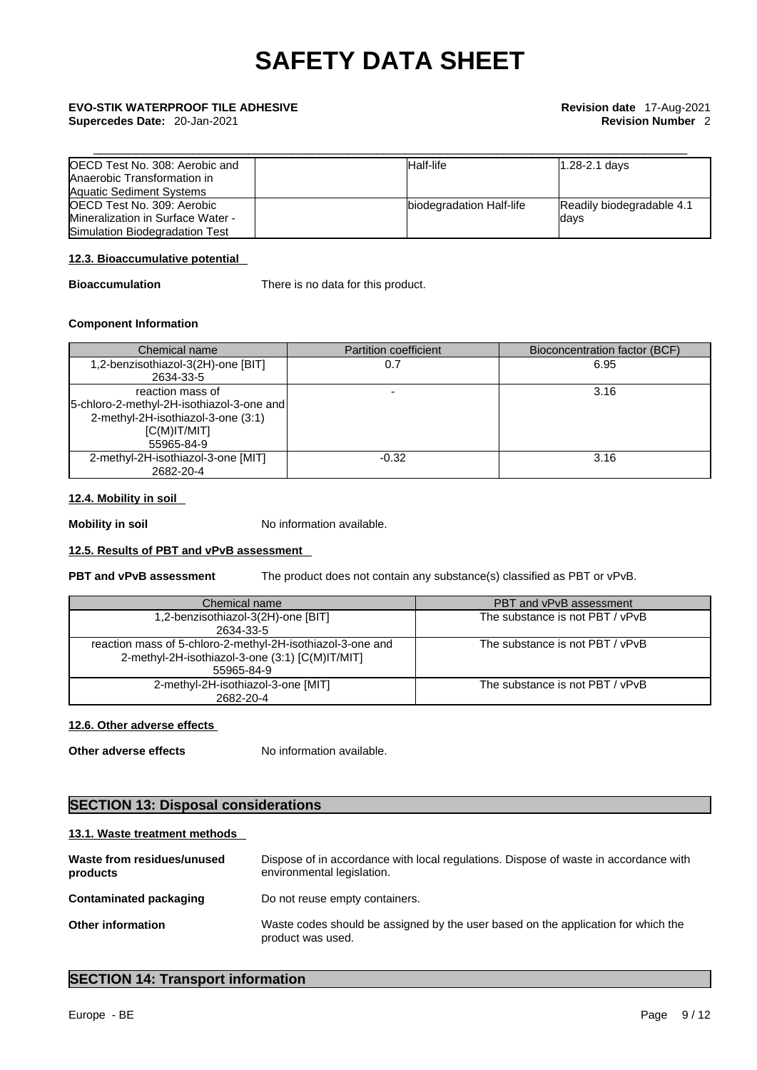**Supercedes Date:** 20-Jan-2021 **Revision Number** 2

# \_\_\_\_\_\_\_\_\_\_\_\_\_\_\_\_\_\_\_\_\_\_\_\_\_\_\_\_\_\_\_\_\_\_\_\_\_\_\_\_\_\_\_\_\_\_\_\_\_\_\_\_\_\_\_\_\_\_\_\_\_\_\_\_\_\_\_\_\_\_\_\_\_\_\_\_\_\_\_\_\_\_\_\_ **EVO-STIK WATERPROOF TILE ADHESIVE Revision date** 17-Aug-2021

| OECD Test No. 308: Aerobic and<br>Anaerobic Transformation in<br><b>Aquatic Sediment Systems</b> | Half-life                | $1.28 - 2.1$ days         |
|--------------------------------------------------------------------------------------------------|--------------------------|---------------------------|
| <b>IOECD Test No. 309: Aerobic</b>                                                               | biodegradation Half-life | Readily biodegradable 4.1 |
| Mineralization in Surface Water -                                                                |                          | days                      |
| Simulation Biodegradation Test                                                                   |                          |                           |

#### **12.3. Bioaccumulative potential**

**Bioaccumulation** There is no data for this product.

#### **Component Information**

| Chemical name                                                                                                                      | <b>Partition coefficient</b> | Bioconcentration factor (BCF) |
|------------------------------------------------------------------------------------------------------------------------------------|------------------------------|-------------------------------|
| 1,2-benzisothiazol-3(2H)-one [BIT]<br>2634-33-5                                                                                    | 0.7                          | 6.95                          |
| reaction mass of<br>[5-chloro-2-methyl-2H-isothiazol-3-one and]<br>2-methyl-2H-isothiazol-3-one (3:1)<br>IC(M)IT/MIT<br>55965-84-9 |                              | 3.16                          |
| 2-methyl-2H-isothiazol-3-one [MIT]<br>2682-20-4                                                                                    | $-0.32$                      | 3.16                          |

#### **12.4. Mobility in soil**

**Mobility in soil** No information available.

#### **12.5. Results of PBT and vPvB assessment**

**PBT and vPvB assessment** The product does not contain any substance(s) classified as PBT or vPvB.

| Chemical name                                                                                                               | <b>PBT and vPvB assessment</b>  |
|-----------------------------------------------------------------------------------------------------------------------------|---------------------------------|
| 1,2-benzisothiazol-3(2H)-one [BIT]<br>2634-33-5                                                                             | The substance is not PBT / vPvB |
| reaction mass of 5-chloro-2-methyl-2H-isothiazol-3-one and<br>2-methyl-2H-isothiazol-3-one (3:1) [C(M)IT/MIT]<br>55965-84-9 | The substance is not PBT / vPvB |
| 2-methyl-2H-isothiazol-3-one [MIT]<br>2682-20-4                                                                             | The substance is not PBT / vPvB |

#### **12.6. Other adverse effects**

**Other adverse effects** No information available.

## **SECTION 13: Disposal considerations**

#### **13.1. Waste treatment methods**

| Waste from residues/unused<br>products | Dispose of in accordance with local regulations. Dispose of waste in accordance with<br>environmental legislation. |
|----------------------------------------|--------------------------------------------------------------------------------------------------------------------|
| Contaminated packaging                 | Do not reuse empty containers.                                                                                     |
| <b>Other information</b>               | Waste codes should be assigned by the user based on the application for which the<br>product was used.             |

## **SECTION 14: Transport information**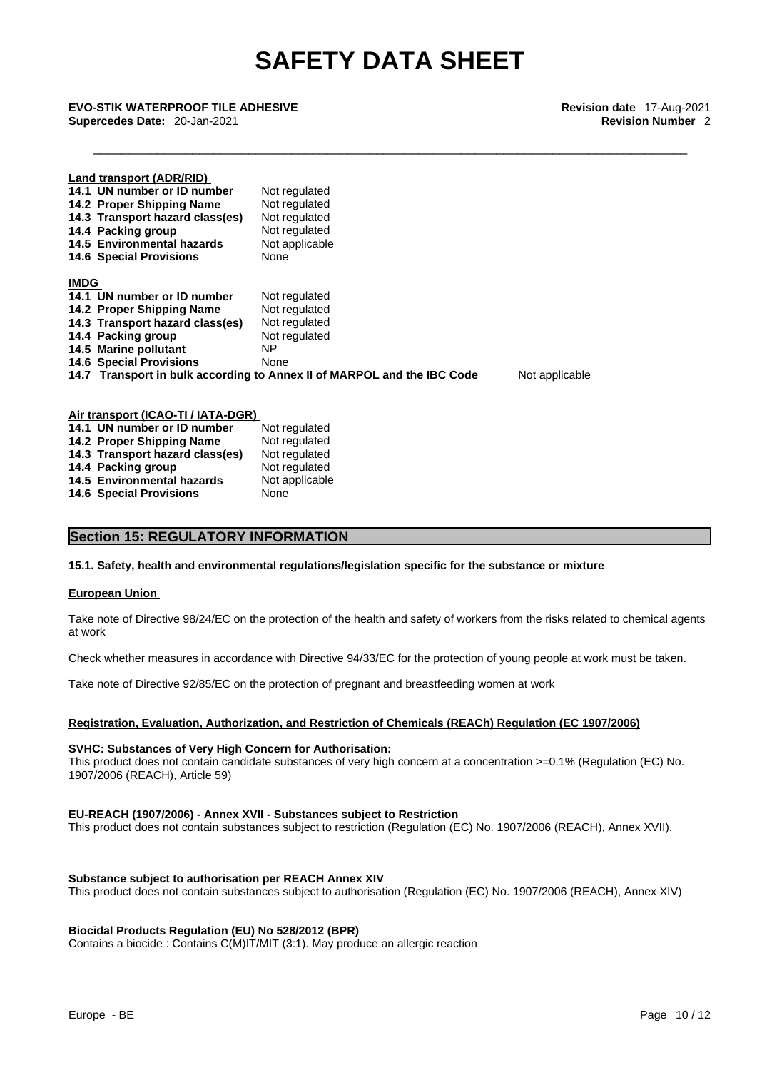\_\_\_\_\_\_\_\_\_\_\_\_\_\_\_\_\_\_\_\_\_\_\_\_\_\_\_\_\_\_\_\_\_\_\_\_\_\_\_\_\_\_\_\_\_\_\_\_\_\_\_\_\_\_\_\_\_\_\_\_\_\_\_\_\_\_\_\_\_\_\_\_\_\_\_\_\_\_\_\_\_\_\_\_ **EVO-STIK WATERPROOF TILE ADHESIVE Revision date** 17-Aug-2021 **Supercedes Date:** 20-Jan-2021 **Revision Number** 2

**Land transport (ADR/RID)**

|             | 14.1 UN number or ID number<br>14.2 Proper Shipping Name<br>14.3 Transport hazard class(es)<br>14.4 Packing group<br>14.5 Environmental hazards                              | Not regulated<br>Not regulated<br>Not regulated<br>Not regulated<br>Not applicable                                                                         |                |
|-------------|------------------------------------------------------------------------------------------------------------------------------------------------------------------------------|------------------------------------------------------------------------------------------------------------------------------------------------------------|----------------|
|             | <b>14.6 Special Provisions</b>                                                                                                                                               | None                                                                                                                                                       |                |
| <b>IMDG</b> |                                                                                                                                                                              |                                                                                                                                                            |                |
|             | 14.1 UN number or ID number<br>14.2 Proper Shipping Name<br>14.3 Transport hazard class(es)<br>14.4 Packing group<br>14.5 Marine pollutant<br><b>14.6 Special Provisions</b> | Not regulated<br>Not regulated<br>Not regulated<br>Not regulated<br>NP.<br>None<br>14.7 Transport in bulk according to Annex II of MARPOL and the IBC Code | Not applicable |
|             |                                                                                                                                                                              |                                                                                                                                                            |                |

| Air transport (ICAO-TI / IATA-DGR) |                |
|------------------------------------|----------------|
| 14.1 UN number or ID number        | Not regulated  |
| 14.2 Proper Shipping Name          | Not regulated  |
| 14.3 Transport hazard class(es)    | Not regulated  |
| 14.4 Packing group                 | Not regulated  |
| 14.5 Environmental hazards         | Not applicable |
| <b>14.6 Special Provisions</b>     | None           |

#### **Section 15: REGULATORY INFORMATION**

#### **15.1. Safety, health and environmental regulations/legislation specific for the substance or mixture**

#### **European Union**

Take note of Directive 98/24/EC on the protection of the health and safety of workers from the risks related to chemical agents at work

Check whether measures in accordance with Directive 94/33/EC for the protection of young people at work must be taken.

Take note of Directive 92/85/EC on the protection of pregnant and breastfeeding women at work

#### **Registration, Evaluation, Authorization, and Restriction of Chemicals (REACh) Regulation (EC 1907/2006)**

#### **SVHC: Substances of Very High Concern for Authorisation:**

This product does not contain candidate substances of very high concern at a concentration >=0.1% (Regulation (EC) No. 1907/2006 (REACH), Article 59)

#### **EU-REACH (1907/2006) - Annex XVII - Substances subject to Restriction**

This product does not contain substances subject to restriction (Regulation (EC) No. 1907/2006 (REACH), Annex XVII).

#### **Substance subject to authorisation per REACH Annex XIV**

This product does not contain substances subject to authorisation (Regulation (EC) No. 1907/2006 (REACH), Annex XIV)

#### **Biocidal Products Regulation (EU) No 528/2012 (BPR)**

Contains a biocide : Contains C(M)IT/MIT (3:1). May produce an allergic reaction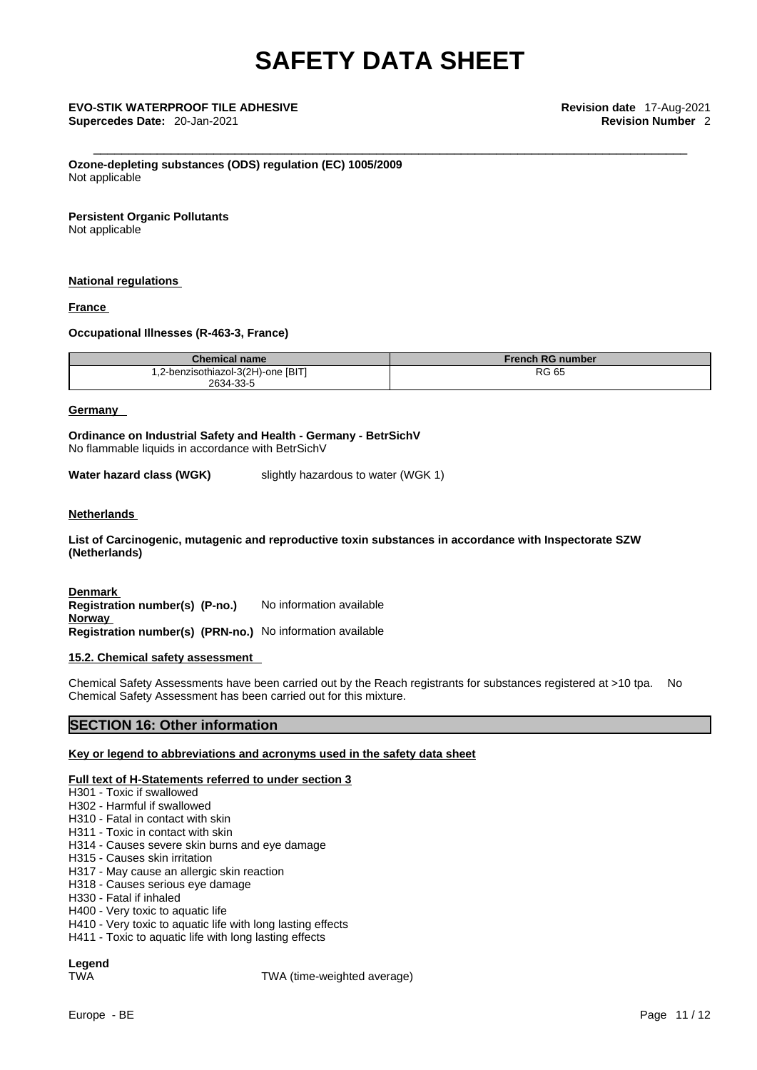**Ozone-depleting substances (ODS) regulation (EC) 1005/2009** Not applicable

#### **Persistent Organic Pollutants**

Not applicable

#### **National regulations**

#### **France**

#### **Occupational Illnesses (R-463-3, France)**

| <b>Chemical name</b>               | <b>French RG number</b> |
|------------------------------------|-------------------------|
| 1,2-benzisothiazol-3(2H)-one [BIT] | <b>RG 65</b>            |
| 2634-33-5                          |                         |

#### **Germany**

**Ordinance on Industrial Safety and Health - Germany - BetrSichV** No flammable liquids in accordance with BetrSichV

**Water hazard class (WGK)** slightly hazardous to water (WGK 1)

#### **Netherlands**

**List of Carcinogenic, mutagenic and reproductive toxin substances in accordance with Inspectorate SZW (Netherlands)**

**Denmark Registration number(s) (P-no.)** No information available **Norway Registration number(s) (PRN-no.)** No information available

#### **15.2. Chemical safety assessment**

Chemical Safety Assessments have been carried out by the Reach registrants for substances registered at >10 tpa. No Chemical Safety Assessment has been carried out for this mixture.

## **SECTION 16: Other information**

#### **Key or legend to abbreviations and acronyms used in the safety data sheet**

#### **Full text of H-Statements referred to under section 3**

- H301 Toxic if swallowed
- H302 Harmful if swallowed
- H310 Fatal in contact with skin
- H311 Toxic in contact with skin
- H314 Causes severe skin burns and eye damage
- H315 Causes skin irritation
- H317 May cause an allergic skin reaction
- H318 Causes serious eye damage
- H330 Fatal if inhaled
- H400 Very toxic to aquatic life
- H410 Very toxic to aquatic life with long lasting effects
- H411 Toxic to aquatic life with long lasting effects

**Legend** 

TWA TWA (time-weighted average)